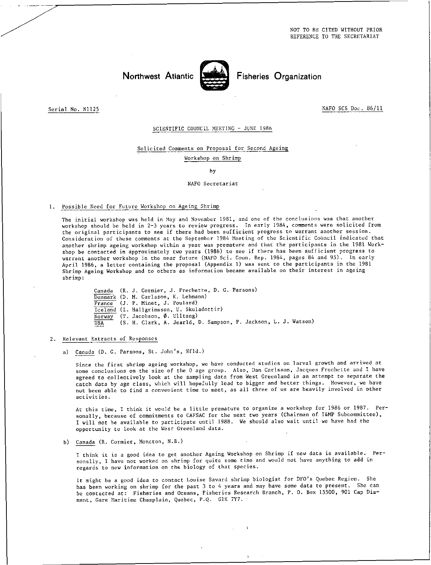NOT TO BE CITED WITHOUT PRIOR REFERENCE TO THE SECRETARIAT

Northwest Atlantic **Notation** Fisheries Organization

Serial No. N1125 NAFO SCS Doc. 86/11

### SCIENTIFIC COUNCIL MEETING - JUNE 1986

#### Solicited Comments on Proposal for Second Ageing

Workshop on Shrimp

by

#### NAFO Secretariat

## 1. Possible Need for Future Workshop on Ageing Shrimp

The initial workshop was held in May and November 1981, and one of the conclusions was that another workshop should be held in 2-3 years to review progress. In early 1984, comments were solicited from the original participants to see if there had been sufficient progress to warrant another session. Consideration of these comments at the September 1984 Meeting of the Scientific Council indicated that another shrimp ageing workshop within a year was premature and that the participants in the 1981 Workshop be contacted in approximately two years (1986) to see if there has been sufficient progress to warrant another workshop in the near future (NAFO Sci. Coun. Rep. 1984, pages 84 and 95). In early April 1986, a letter containing the proposal (Appendix 1) was sent to the participants in the 1981 Shrimp Ageing Workshop and to others as information became available on their interest in ageing shrimp:

Canada (R. J. Cormier, J. Frechette, D. G. Parsons) Denmark (D. M. Carlsson, K. Lehmann) France (J. P. Minet, J. Poulard) Iceland(I. Hallgrimsson, U. Skuladottir) Norway (T. Jacobson, Ø. Ulltang)<br>USA (S. H. Clark, A. Jearld, 1 (S. H. Clark, A. Jearld, D. Sampson, P. Jackson, L. J. Watson)

- 2. Relevant Extracts of Responses
	- a) Canada (D. G. Parsons, St. John's, Nfld.)

Since the first shrimp ageing workshop, we have conducted studies on larval growth and arrived at some conclusions on the size of the 0 age group. Also, Dan Carlsson, Jacques Frechette and I have agreed to collectively look at the sampling data from West Greenland in an attempt to separate the catch data by age class, which will hopefully lead to bigger and better things. However, we have not been able to find a convenient time to meet, as all three of us are heavily involved in other activities.

At this time, I think it would be a little premature to organize a workshop for 1986 or 1987. Personally, because of commitments to CAFSAC for the next two years (Chairman of T&MP Subcommittee), I will not be available to participate until 1988. We should also wait until we have had the opportunity to look at the West Greenland data.

b) Canada (R. Cormier, Moncton, N.B.)

I think it is a good idea to get another Ageing Workshop on Shrimp if new data is available. Personally, I have not worked on shrimp for quite some time and would not have anything to add in regards to new information on the biology of that species.

It might he a good idea to contact Louise Savard shrimp biologist for DFO's Quebec Region. She has been working on shrimp for the past 3 to 4 years and may have some data to present. She can be contacted at: Fisheries and Oceans, Fisheries Research Branch, P. O. Box 15500, 901 Cap Diamant, Gare Maritime Champlain, Quebec, P.Q. GIK 7Y7.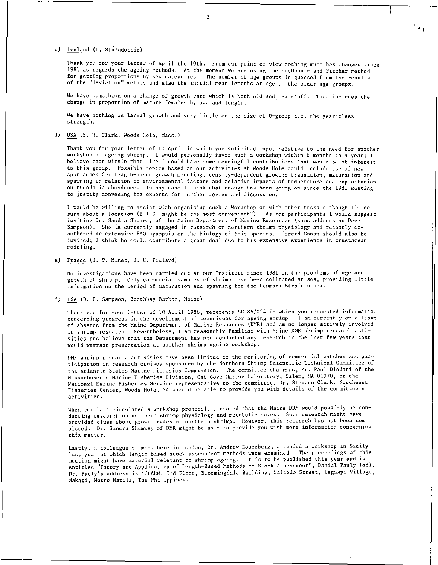c) Iceland (U. Skuladottir)

Thank you for your letter of April the 10th. From our point of view nothing much has changed since 1981 as regards the ageing methods. At the moment we are using the MacDonald and Pitcher method for getting proportions by sex categories. The number of age-groups is guessed from the results of the "deviation" method and also the initial mean lengths at age in the older age-groups.

 $\frac{1}{2} \frac{1}{4}$ 

We have something on a change of growth rate which is both old and new stuff. That includes the change in proportion of mature females by age and length.

We have nothing on larval growth and very little on the size of 0-group i.e. the year-class strength.

d) USA (S. H. Clark, Woods Hole, Mass.)

Thank you for your letter of 10 April in which you solicited input relative to the need for another workshop on ageing shrimp. I would personally favor such a workshop within 6 months to a year; I believe that within that time I could have some meaningful contributions that would be of interest to this group. Possible topics based on our activities at Woods Hole could include use of new approaches for length-based growth modeling; density-dependent growth; transition, maturation and spawning in relation to environmental factors and relative impacts of temperature and exploitation on trends in abundance. In any case I think that enough has been going on since the 1981 meeting to justify convening the experts for further review and discussion.

I would be willing to assist with organizing such a Workshop or with other tasks although I'm not sure about a location (B.I.O. might be the most convenient?). As for participants I would suggest inviting Dr. Sandra Shumway of the Maine Department of Marine Resources (same address as Dave Sampson). She is currently engaged in research on northern shrimp physiology and recently coauthored an extensive FAO synopsis on the biology of this species. Gerard Conan should also be invited; I think he could contribute a great deal due to his extensive experience in crustacean modeling.

e) France(J. P. Minet, J. C. Poulard)

No investigations have been carried out at our Institute since 1981 on the problems of age and growth of shrimp. Only commercial samples of shrimp have been collected at sea, providing little information on the period of maturation and spawning for the Denmark Strait stock.

f) USA (D. B. Sampson, Boothbay Barbor, Maine)

Thank you for your letter of 10 April 1986, reference SC-86/024 in which you requested information concerning progress in the development of techniques for ageing shrimp. I am currently on a leave of absence from the Maine Department of Marine Resources (DMR) and am no longer actively involved in shrimp research. Nevertheless, I am reasonably familiar with Maine DMR shrimp research activities and believe that the Department has not conducted any research in the last few years that would warrant presentation at another shrimp ageing workshop.

DMR shrimp research activities have been limited to the monitoring of commercial catches and participation in research cruises sponsored by the Northern Shrimp Scientific Technical Committee of the Atlantic States Marine Fisheries Commission. The committee chairman, Mr. Paul Diodati of the Massachusetts Marine Fisheries Division, Cat Cove Marine Laboratory, Salem, MA 01970, or the National Marine Fisheries Service representative to the committee, Dr. Stephen Clark, Northeast Fisheries Center, Woods Hole, MA should be able to provide you with details of the committee's activities.

When you last circulated a workshop proposal, I stated that the Maine DRM would possibly be conducting research on northern shrimp physiology and metabolic rates. Such research might have provided clues about growth rates of northern shrimp. However, this research has not been completed. Dr. Sandra Shumway of DMR might be able to provide you with more information concerning this matter.

Lastly, a colleague of mine here in London, Dr. Andrew Rosenberg, attended a workshop in Sicily last year at which length-based stock assessment methods were examined. The proceedings of this meeting might have material relevant to shrimp ageing. It is to be published this year and is entitled "Theory and Application of Length-Based Methods of Stock Assessment", Daniel Pauly (ed). Dr. Pauly's address is ICLARM, 3rd Floor, Bloomingdale Building, Salcedo Street, Legaspi Village, Makati, Metro Manila, The Philippines.

 $-2-$